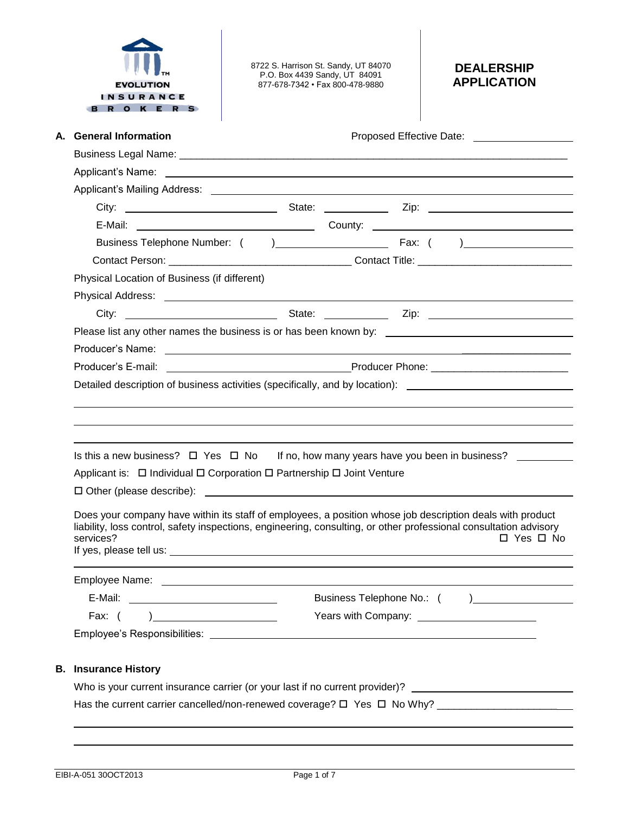

8722 S. Harrison St. Sandy, UT 84070 P.O. Box 4439 Sandy, UT 84091 877-678-7342 • Fax 800-478-9880

# **DEALERSHIP APPLICATION**

| A. General Information                                                                                                                                                                                                         |  |  |  |                                               |  |  |
|--------------------------------------------------------------------------------------------------------------------------------------------------------------------------------------------------------------------------------|--|--|--|-----------------------------------------------|--|--|
|                                                                                                                                                                                                                                |  |  |  |                                               |  |  |
|                                                                                                                                                                                                                                |  |  |  |                                               |  |  |
|                                                                                                                                                                                                                                |  |  |  |                                               |  |  |
|                                                                                                                                                                                                                                |  |  |  |                                               |  |  |
|                                                                                                                                                                                                                                |  |  |  |                                               |  |  |
|                                                                                                                                                                                                                                |  |  |  |                                               |  |  |
|                                                                                                                                                                                                                                |  |  |  |                                               |  |  |
| Physical Location of Business (if different)                                                                                                                                                                                   |  |  |  |                                               |  |  |
|                                                                                                                                                                                                                                |  |  |  |                                               |  |  |
|                                                                                                                                                                                                                                |  |  |  |                                               |  |  |
|                                                                                                                                                                                                                                |  |  |  |                                               |  |  |
|                                                                                                                                                                                                                                |  |  |  |                                               |  |  |
|                                                                                                                                                                                                                                |  |  |  |                                               |  |  |
| Detailed description of business activities (specifically, and by location): ________________________________                                                                                                                  |  |  |  |                                               |  |  |
|                                                                                                                                                                                                                                |  |  |  |                                               |  |  |
|                                                                                                                                                                                                                                |  |  |  |                                               |  |  |
|                                                                                                                                                                                                                                |  |  |  |                                               |  |  |
| Is this a new business? $\Box$ Yes $\Box$ No If no, how many years have you been in business?                                                                                                                                  |  |  |  |                                               |  |  |
| Applicant is: □ Individual □ Corporation □ Partnership □ Joint Venture                                                                                                                                                         |  |  |  |                                               |  |  |
|                                                                                                                                                                                                                                |  |  |  |                                               |  |  |
|                                                                                                                                                                                                                                |  |  |  |                                               |  |  |
| Does your company have within its staff of employees, a position whose job description deals with product<br>liability, loss control, safety inspections, engineering, consulting, or other professional consultation advisory |  |  |  |                                               |  |  |
| services?                                                                                                                                                                                                                      |  |  |  | $\Box$ Yes $\Box$ No                          |  |  |
| If yes, please tell us: the same state of the state of the state of the state of the state of the state of the state of the state of the state of the state of the state of the state of the state of the state of the state o |  |  |  |                                               |  |  |
| Employee Name:                                                                                                                                                                                                                 |  |  |  |                                               |  |  |
|                                                                                                                                                                                                                                |  |  |  |                                               |  |  |
|                                                                                                                                                                                                                                |  |  |  | Years with Company: _________________________ |  |  |
|                                                                                                                                                                                                                                |  |  |  |                                               |  |  |
|                                                                                                                                                                                                                                |  |  |  |                                               |  |  |
| <b>B.</b> Insurance History                                                                                                                                                                                                    |  |  |  |                                               |  |  |
| Who is your current insurance carrier (or your last if no current provider)?                                                                                                                                                   |  |  |  |                                               |  |  |
| Has the current carrier cancelled/non-renewed coverage? $\Box$ Yes $\Box$ No Why?                                                                                                                                              |  |  |  |                                               |  |  |
|                                                                                                                                                                                                                                |  |  |  |                                               |  |  |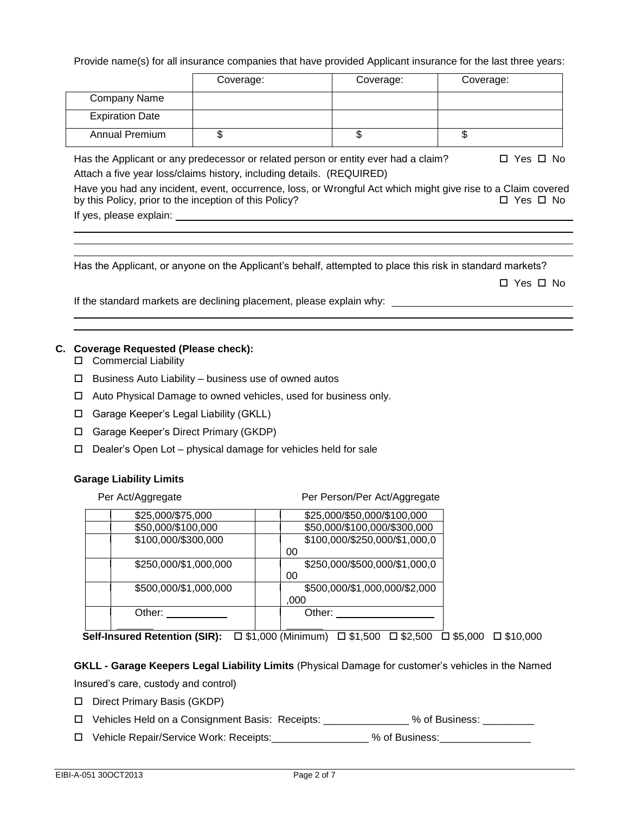Provide name(s) for all insurance companies that have provided Applicant insurance for the last three years:

|                        | Coverage: | Coverage: | Coverage: |
|------------------------|-----------|-----------|-----------|
| Company Name           |           |           |           |
| <b>Expiration Date</b> |           |           |           |
| <b>Annual Premium</b>  |           | J         | ѡ         |

Has the Applicant or any predecessor or related person or entity ever had a claim?  $\square$  Yes  $\square$  No Attach a five year loss/claims history, including details. (REQUIRED)

Have you had any incident, event, occurrence, loss, or Wrongful Act which might give rise to a Claim covered by this Policy, prior to the inception of this Policy?  $\Box$  Yes  $\Box$  No If yes, please explain:

Has the Applicant, or anyone on the Applicant's behalf, attempted to place this risk in standard markets?

□ Yes □ No

If the standard markets are declining placement, please explain why:

## **C. Coverage Requested (Please check):**

- □ Commercial Liability
- $\Box$  Business Auto Liability business use of owned autos
- □ Auto Physical Damage to owned vehicles, used for business only.
- Garage Keeper's Legal Liability (GKLL)
- Garage Keeper's Direct Primary (GKDP)
- $\Box$  Dealer's Open Lot physical damage for vehicles held for sale

### **Garage Liability Limits**

| Per Act/Aggregate |                       | Per Person/Per Act/Aggregate  |
|-------------------|-----------------------|-------------------------------|
|                   | \$25,000/\$75,000     | \$25,000/\$50,000/\$100,000   |
|                   | \$50,000/\$100,000    | \$50,000/\$100,000/\$300,000  |
|                   | \$100,000/\$300,000   | \$100,000/\$250,000/\$1,000,0 |
|                   |                       | 00                            |
|                   | \$250,000/\$1,000,000 | \$250,000/\$500,000/\$1,000,0 |
|                   |                       | 00                            |
|                   | \$500,000/\$1,000,000 | \$500,000/\$1,000,000/\$2,000 |
|                   |                       | ,000                          |
|                   | Other:                | Other:                        |
|                   |                       |                               |

**Self-Insured Retention (SIR):** □ \$1,000 (Minimum) □ \$1,500 □ \$2,500 □ \$5,000 □ \$10,000

**GKLL - Garage Keepers Legal Liability Limits** (Physical Damage for customer's vehicles in the Named Insured's care, custody and control)

- Direct Primary Basis (GKDP)
- Vehicles Held on a Consignment Basis: Receipts: \_\_\_\_\_\_\_\_\_\_\_\_\_\_\_ % of Business: \_\_\_\_\_\_\_\_\_
- □ Vehicle Repair/Service Work: Receipts:  $\Box$  % of Business: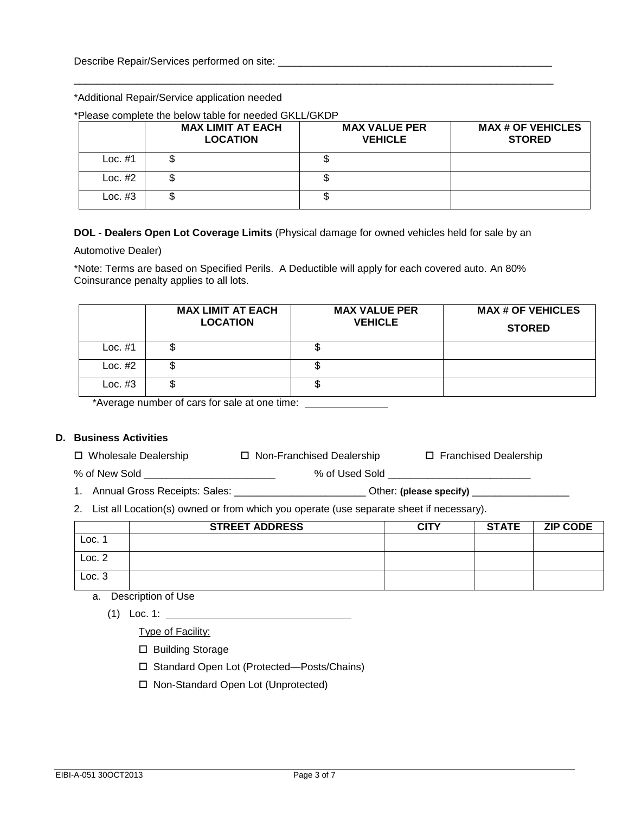### \*Additional Repair/Service application needed

#### \*Please complete the below table for needed GKLL/GKDP

|           | <b>MAX LIMIT AT EACH</b><br><b>LOCATION</b> | <b>MAX VALUE PER</b><br><b>VEHICLE</b> | <b>MAX # OF VEHICLES</b><br><b>STORED</b> |
|-----------|---------------------------------------------|----------------------------------------|-------------------------------------------|
| Loc. $#1$ |                                             |                                        |                                           |
| Loc. $#2$ |                                             |                                        |                                           |
| Loc. $#3$ |                                             | J                                      |                                           |

\_\_\_\_\_\_\_\_\_\_\_\_\_\_\_\_\_\_\_\_\_\_\_\_\_\_\_\_\_\_\_\_\_\_\_\_\_\_\_\_\_\_\_\_\_\_\_\_\_\_\_\_\_\_\_\_\_\_\_\_\_\_\_\_\_\_\_\_\_\_\_\_\_\_\_\_\_\_\_\_\_\_\_\_

## **DOL - Dealers Open Lot Coverage Limits** (Physical damage for owned vehicles held for sale by an

Automotive Dealer)

\*Note: Terms are based on Specified Perils. A Deductible will apply for each covered auto. An 80% Coinsurance penalty applies to all lots.

|           | <b>MAX LIMIT AT EACH</b><br><b>LOCATION</b> | <b>MAX VALUE PER</b><br><b>VEHICLE</b> | <b>MAX # OF VEHICLES</b><br><b>STORED</b> |
|-----------|---------------------------------------------|----------------------------------------|-------------------------------------------|
| Loc. $#1$ |                                             | Ψ                                      |                                           |
| Loc. $#2$ |                                             | Ψ                                      |                                           |
| Loc. $#3$ |                                             | w                                      |                                           |

\*Average number of cars for sale at one time:

# **D. Business Activities**

| □ Wholesale Dealership | □ Non-Franchised Dealership | □ Franchised Dealership |
|------------------------|-----------------------------|-------------------------|
|------------------------|-----------------------------|-------------------------|

% of New Sold \_\_\_\_\_\_\_\_\_\_\_\_\_\_\_\_\_\_\_\_\_\_\_\_\_\_\_\_\_\_\_\_\_\_ % of Used Sold \_\_\_\_\_\_\_\_\_\_\_\_\_\_\_\_

1. Annual Gross Receipts: Sales: \_\_\_\_\_\_\_\_\_\_\_\_\_\_\_\_\_\_\_\_\_\_\_ Other: **(please specify)** \_\_\_\_\_\_\_\_\_\_\_\_\_\_\_\_\_

2. List all Location(s) owned or from which you operate (use separate sheet if necessary).

|                   | <b>STREET ADDRESS</b> | <b>CITY</b> | <b>STATE</b> | <b>ZIP CODE</b> |
|-------------------|-----------------------|-------------|--------------|-----------------|
| LOC. <sup>4</sup> |                       |             |              |                 |
| Loc. 2            |                       |             |              |                 |
| Loc.3             |                       |             |              |                 |

a. Description of Use

(1) Loc. 1:

Type of Facility:

- □ Building Storage
- □ Standard Open Lot (Protected—Posts/Chains)
- □ Non-Standard Open Lot (Unprotected)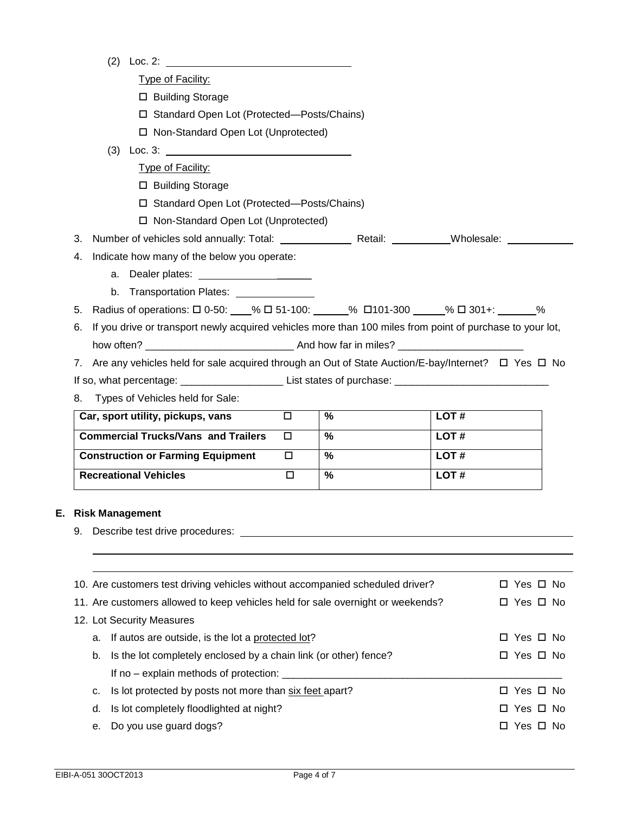|    | (2)<br>Loc. $2:$                                                                                                      |        |      |      |               |  |
|----|-----------------------------------------------------------------------------------------------------------------------|--------|------|------|---------------|--|
|    | Type of Facility:                                                                                                     |        |      |      |               |  |
|    | □ Building Storage                                                                                                    |        |      |      |               |  |
|    | □ Standard Open Lot (Protected-Posts/Chains)                                                                          |        |      |      |               |  |
|    | □ Non-Standard Open Lot (Unprotected)                                                                                 |        |      |      |               |  |
|    | (3) Loc. 3: $\qquad \qquad$                                                                                           |        |      |      |               |  |
|    | Type of Facility:                                                                                                     |        |      |      |               |  |
|    | □ Building Storage                                                                                                    |        |      |      |               |  |
|    | □ Standard Open Lot (Protected-Posts/Chains)                                                                          |        |      |      |               |  |
|    | □ Non-Standard Open Lot (Unprotected)                                                                                 |        |      |      |               |  |
| 3. | Number of vehicles sold annually: Total: _______________________Retail: _____________Wholesale: ____                  |        |      |      |               |  |
| 4. | Indicate how many of the below you operate:                                                                           |        |      |      |               |  |
|    | а.                                                                                                                    |        |      |      |               |  |
|    | b. Transportation Plates: University of American                                                                      |        |      |      |               |  |
| 5. | Radius of operations: $\square$ 0-50: 451-100: 451-100: 4101-300 45 40 401+: 46 401+: 46                              |        |      |      |               |  |
| 6. | If you drive or transport newly acquired vehicles more than 100 miles from point of purchase to your lot,             |        |      |      |               |  |
|    |                                                                                                                       |        |      |      |               |  |
|    | 7. Are any vehicles held for sale acquired through an Out of State Auction/E-bay/Internet? $\square$ Yes $\square$ No |        |      |      |               |  |
|    | If so, what percentage: ____________________________List states of purchase: _________________________________        |        |      |      |               |  |
| 8. | Types of Vehicles held for Sale:                                                                                      |        |      |      |               |  |
|    | Car, sport utility, pickups, vans                                                                                     | $\Box$ | $\%$ | LOT# |               |  |
|    | <b>Commercial Trucks/Vans and Trailers</b>                                                                            | $\Box$ | %    | LOT# |               |  |
|    | <b>Construction or Farming Equipment</b>                                                                              | $\Box$ | %    | LOT# |               |  |
|    | <b>Recreational Vehicles</b>                                                                                          | $\Box$ | %    | LOT# |               |  |
|    |                                                                                                                       |        |      |      |               |  |
|    |                                                                                                                       |        |      |      |               |  |
|    | <b>Risk Management</b>                                                                                                |        |      |      |               |  |
| 9. |                                                                                                                       |        |      |      |               |  |
|    |                                                                                                                       |        |      |      |               |  |
|    |                                                                                                                       |        |      |      | □ Yes □ No    |  |
|    | 10. Are customers test driving vehicles without accompanied scheduled driver?                                         |        |      |      |               |  |
|    | 11. Are customers allowed to keep vehicles held for sale overnight or weekends?                                       |        |      |      | □ Yes □ No    |  |
|    | 12. Lot Security Measures                                                                                             |        |      |      |               |  |
| a. | If autos are outside, is the lot a protected lot?                                                                     |        |      |      | □ Yes □ No    |  |
| b. | Is the lot completely enclosed by a chain link (or other) fence?                                                      |        |      |      | □ Yes □ No    |  |
|    |                                                                                                                       |        |      |      |               |  |
| c. | Is lot protected by posts not more than six feet apart?                                                               |        |      |      | □ Yes □ No    |  |
| d. | Is lot completely floodlighted at night?                                                                              |        |      |      | Yes □ No<br>□ |  |
| е. | Do you use guard dogs?                                                                                                |        |      |      | □ Yes □ No    |  |

**E. Risk Management**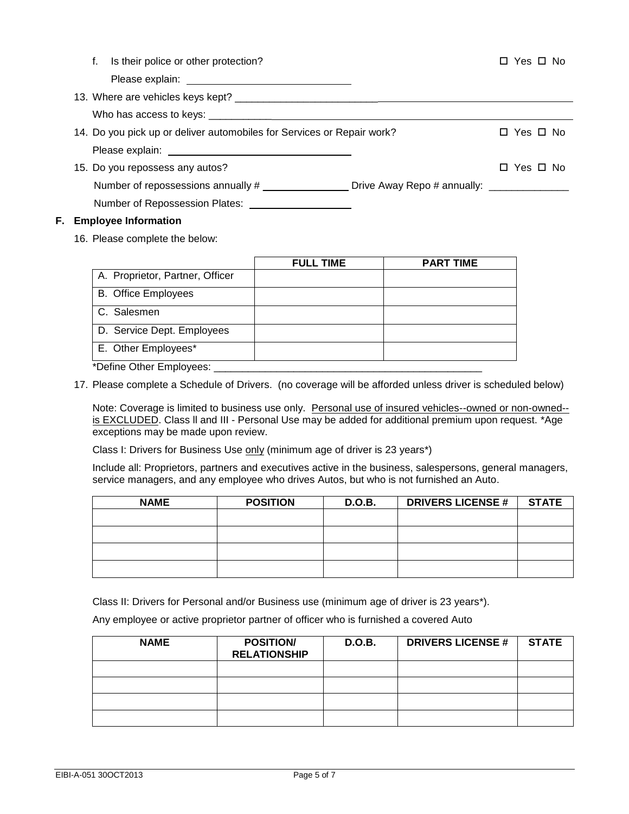|  | f. Is their police or other protection?                                                              | □ Yes □ No |
|--|------------------------------------------------------------------------------------------------------|------------|
|  |                                                                                                      |            |
|  |                                                                                                      |            |
|  |                                                                                                      |            |
|  | 14. Do you pick up or deliver automobiles for Services or Repair work?                               | □ Yes □ No |
|  |                                                                                                      |            |
|  | 15. Do you repossess any autos?                                                                      | □ Yes □ No |
|  | Number of repossessions annually # ______________________Drive Away Repo # annually: _______________ |            |
|  | Number of Repossession Plates:                                                                       |            |
|  | Escalatore Lafemariles                                                                               |            |

## **F. Employee Information**

16. Please complete the below:

|                                 | <b>FULL TIME</b> | <b>PART TIME</b> |
|---------------------------------|------------------|------------------|
| A. Proprietor, Partner, Officer |                  |                  |
| <b>B.</b> Office Employees      |                  |                  |
| C. Salesmen                     |                  |                  |
| D. Service Dept. Employees      |                  |                  |
| E. Other Employees*             |                  |                  |
| *Define Other Employees:        |                  |                  |

17. Please complete a Schedule of Drivers. (no coverage will be afforded unless driver is scheduled below)

Note: Coverage is limited to business use only. Personal use of insured vehicles--owned or non-owned-is EXCLUDED. Class II and III - Personal Use may be added for additional premium upon request. \*Age exceptions may be made upon review.

Class I: Drivers for Business Use only (minimum age of driver is 23 years\*)

Include all: Proprietors, partners and executives active in the business, salespersons, general managers, service managers, and any employee who drives Autos, but who is not furnished an Auto.

| <b>NAME</b> | <b>POSITION</b> | <b>D.O.B.</b> | <b>DRIVERS LICENSE #</b> | <b>STATE</b> |
|-------------|-----------------|---------------|--------------------------|--------------|
|             |                 |               |                          |              |
|             |                 |               |                          |              |
|             |                 |               |                          |              |
|             |                 |               |                          |              |

Class II: Drivers for Personal and/or Business use (minimum age of driver is 23 years\*).

Any employee or active proprietor partner of officer who is furnished a covered Auto

| <b>NAME</b> | <b>POSITION/</b><br><b>RELATIONSHIP</b> | <b>D.O.B.</b> | <b>DRIVERS LICENSE #</b> | <b>STATE</b> |
|-------------|-----------------------------------------|---------------|--------------------------|--------------|
|             |                                         |               |                          |              |
|             |                                         |               |                          |              |
|             |                                         |               |                          |              |
|             |                                         |               |                          |              |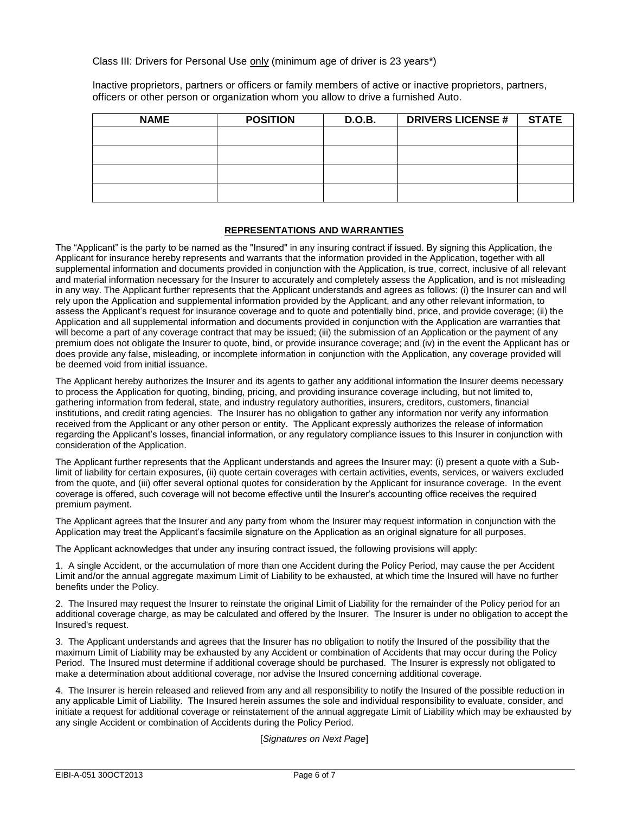Class III: Drivers for Personal Use only (minimum age of driver is 23 years\*)

Inactive proprietors, partners or officers or family members of active or inactive proprietors, partners, officers or other person or organization whom you allow to drive a furnished Auto.

| <b>NAME</b> | <b>POSITION</b> | D.O.B. | <b>DRIVERS LICENSE #</b> | <b>STATE</b> |
|-------------|-----------------|--------|--------------------------|--------------|
|             |                 |        |                          |              |
|             |                 |        |                          |              |
|             |                 |        |                          |              |
|             |                 |        |                          |              |

#### **REPRESENTATIONS AND WARRANTIES**

The "Applicant" is the party to be named as the "Insured" in any insuring contract if issued. By signing this Application, the Applicant for insurance hereby represents and warrants that the information provided in the Application, together with all supplemental information and documents provided in conjunction with the Application, is true, correct, inclusive of all relevant and material information necessary for the Insurer to accurately and completely assess the Application, and is not misleading in any way. The Applicant further represents that the Applicant understands and agrees as follows: (i) the Insurer can and will rely upon the Application and supplemental information provided by the Applicant, and any other relevant information, to assess the Applicant's request for insurance coverage and to quote and potentially bind, price, and provide coverage; (ii) the Application and all supplemental information and documents provided in conjunction with the Application are warranties that will become a part of any coverage contract that may be issued; (iii) the submission of an Application or the payment of any premium does not obligate the Insurer to quote, bind, or provide insurance coverage; and (iv) in the event the Applicant has or does provide any false, misleading, or incomplete information in conjunction with the Application, any coverage provided will be deemed void from initial issuance.

The Applicant hereby authorizes the Insurer and its agents to gather any additional information the Insurer deems necessary to process the Application for quoting, binding, pricing, and providing insurance coverage including, but not limited to, gathering information from federal, state, and industry regulatory authorities, insurers, creditors, customers, financial institutions, and credit rating agencies. The Insurer has no obligation to gather any information nor verify any information received from the Applicant or any other person or entity. The Applicant expressly authorizes the release of information regarding the Applicant's losses, financial information, or any regulatory compliance issues to this Insurer in conjunction with consideration of the Application.

The Applicant further represents that the Applicant understands and agrees the Insurer may: (i) present a quote with a Sublimit of liability for certain exposures, (ii) quote certain coverages with certain activities, events, services, or waivers excluded from the quote, and (iii) offer several optional quotes for consideration by the Applicant for insurance coverage. In the event coverage is offered, such coverage will not become effective until the Insurer's accounting office receives the required premium payment.

The Applicant agrees that the Insurer and any party from whom the Insurer may request information in conjunction with the Application may treat the Applicant's facsimile signature on the Application as an original signature for all purposes.

The Applicant acknowledges that under any insuring contract issued, the following provisions will apply:

1. A single Accident, or the accumulation of more than one Accident during the Policy Period, may cause the per Accident Limit and/or the annual aggregate maximum Limit of Liability to be exhausted, at which time the Insured will have no further benefits under the Policy.

2. The Insured may request the Insurer to reinstate the original Limit of Liability for the remainder of the Policy period for an additional coverage charge, as may be calculated and offered by the Insurer. The Insurer is under no obligation to accept the Insured's request.

3. The Applicant understands and agrees that the Insurer has no obligation to notify the Insured of the possibility that the maximum Limit of Liability may be exhausted by any Accident or combination of Accidents that may occur during the Policy Period. The Insured must determine if additional coverage should be purchased. The Insurer is expressly not obligated to make a determination about additional coverage, nor advise the Insured concerning additional coverage.

4. The Insurer is herein released and relieved from any and all responsibility to notify the Insured of the possible reduction in any applicable Limit of Liability. The Insured herein assumes the sole and individual responsibility to evaluate, consider, and initiate a request for additional coverage or reinstatement of the annual aggregate Limit of Liability which may be exhausted by any single Accident or combination of Accidents during the Policy Period.

[*Signatures on Next Page*]